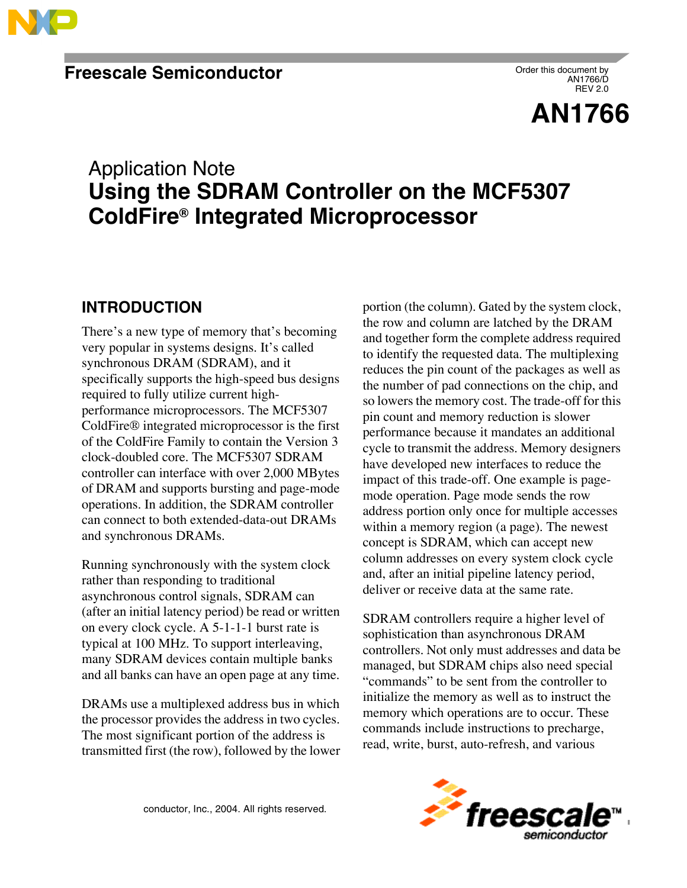

Order this document by AN1766/D REV 2.0

**AN1766**

# Application Note **Using the SDRAM Controller on the MCF5307 ColdFire® Integrated Microprocessor**

## **INTRODUCTION**

There's a new type of memory that's becoming very popular in systems designs. It's called synchronous DRAM (SDRAM), and it specifically supports the high-speed bus designs required to fully utilize current highperformance microprocessors. The MCF5307 ColdFire® integrated microprocessor is the first of the ColdFire Family to contain the Version 3 clock-doubled core. The MCF5307 SDRAM controller can interface with over 2,000 MBytes of DRAM and supports bursting and page-mode operations. In addition, the SDRAM controller can connect to both extended-data-out DRAMs and synchronous DRAMs.

Running synchronously with the system clock rather than responding to traditional asynchronous control signals, SDRAM can (after an initial latency period) be read or written on every clock cycle. A 5-1-1-1 burst rate is typical at 100 MHz. To support interleaving, many SDRAM devices contain multiple banks and all banks can have an open page at any time.

DRAMs use a multiplexed address bus in which the processor provides the address in two cycles. The most significant portion of the address is transmitted first (the row), followed by the lower portion (the column). Gated by the system clock, the row and column are latched by the DRAM and together form the complete address required to identify the requested data. The multiplexing reduces the pin count of the packages as well as the number of pad connections on the chip, and so lowers the memory cost. The trade-off for this pin count and memory reduction is slower performance because it mandates an additional cycle to transmit the address. Memory designers have developed new interfaces to reduce the impact of this trade-off. One example is pagemode operation. Page mode sends the row address portion only once for multiple accesses within a memory region (a page). The newest concept is SDRAM, which can accept new column addresses on every system clock cycle and, after an initial pipeline latency period, deliver or receive data at the same rate.

SDRAM controllers require a higher level of sophistication than asynchronous DRAM controllers. Not only must addresses and data be managed, but SDRAM chips also need special "commands" to be sent from the controller to initialize the memory as well as to instruct the memory which operations are to occur. These commands include instructions to precharge, read, write, burst, auto-refresh, and various

conductor, Inc., 2004. All rights reserved.

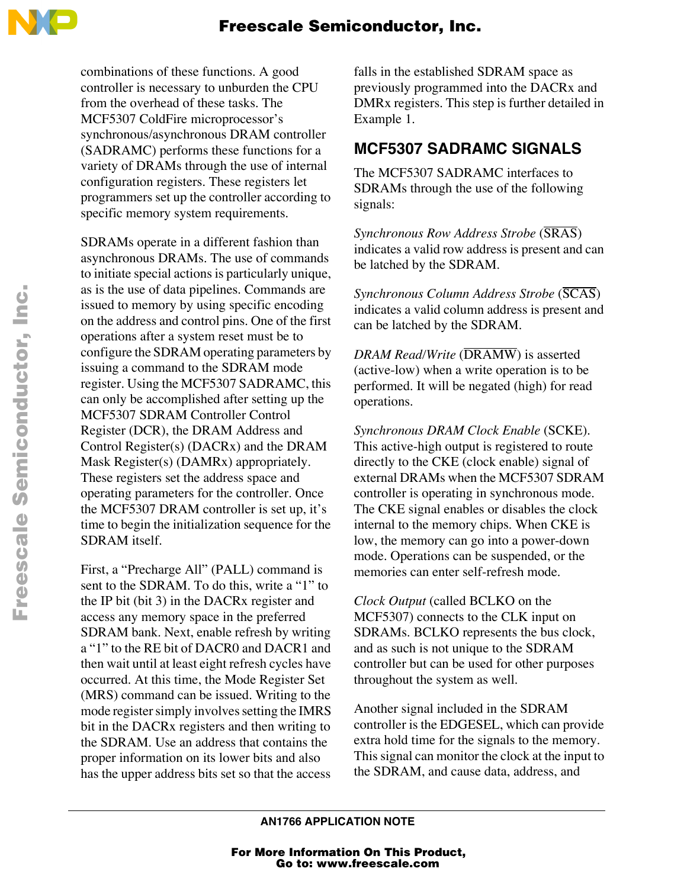

combinations of these functions. A good controller is necessary to unburden the CPU from the overhead of these tasks. The MCF5307 ColdFire microprocessor's synchronous/asynchronous DRAM controller (SADRAMC) performs these functions for a variety of DRAMs through the use of internal configuration registers. These registers let programmers set up the controller according to specific memory system requirements.

SDRAMs operate in a different fashion than asynchronous DRAMs. The use of commands to initiate special actions is particularly unique, as is the use of data pipelines. Commands are issued to memory by using specific encoding on the address and control pins. One of the first operations after a system reset must be to configure the SDRAM operating parameters by issuing a command to the SDRAM mode register. Using the MCF5307 SADRAMC, this can only be accomplished after setting up the MCF5307 SDRAM Controller Control Register (DCR), the DRAM Address and Control Register(s) (DACRx) and the DRAM Mask Register(s) (DAMRx) appropriately. These registers set the address space and operating parameters for the controller. Once the MCF5307 DRAM controller is set up, it's time to begin the initialization sequence for the SDRAM itself.

First, a "Precharge All" (PALL) command is sent to the SDRAM. To do this, write a "1" to the IP bit (bit 3) in the DACRx register and access any memory space in the preferred SDRAM bank. Next, enable refresh by writing a "1" to the RE bit of DACR0 and DACR1 and then wait until at least eight refresh cycles have occurred. At this time, the Mode Register Set (MRS) command can be issued. Writing to the mode register simply involves setting the IMRS bit in the DACRx registers and then writing to the SDRAM. Use an address that contains the proper information on its lower bits and also has the upper address bits set so that the access

falls in the established SDRAM space as previously programmed into the DACRx and DMRx registers. This step is further detailed in Example 1.

### **MCF5307 SADRAMC SIGNALS**

The MCF5307 SADRAMC interfaces to SDRAMs through the use of the following signals:

*Synchronous Row Address Strobe* (SRAS) indicates a valid row address is present and can be latched by the SDRAM.

*Synchronous Column Address Strobe* (SCAS) indicates a valid column address is present and can be latched by the SDRAM.

*DRAM Read/Write* (DRAMW) is asserted (active-low) when a write operation is to be performed. It will be negated (high) for read operations.

*Synchronous DRAM Clock Enable* (SCKE). This active-high output is registered to route directly to the CKE (clock enable) signal of external DRAMs when the MCF5307 SDRAM controller is operating in synchronous mode. The CKE signal enables or disables the clock internal to the memory chips. When CKE is low, the memory can go into a power-down mode. Operations can be suspended, or the memories can enter self-refresh mode.

*Clock Output* (called BCLKO on the MCF5307) connects to the CLK input on SDRAMs. BCLKO represents the bus clock, and as such is not unique to the SDRAM controller but can be used for other purposes throughout the system as well.

Another signal included in the SDRAM controller is the EDGESEL, which can provide extra hold time for the signals to the memory. This signal can monitor the clock at the input to the SDRAM, and cause data, address, and

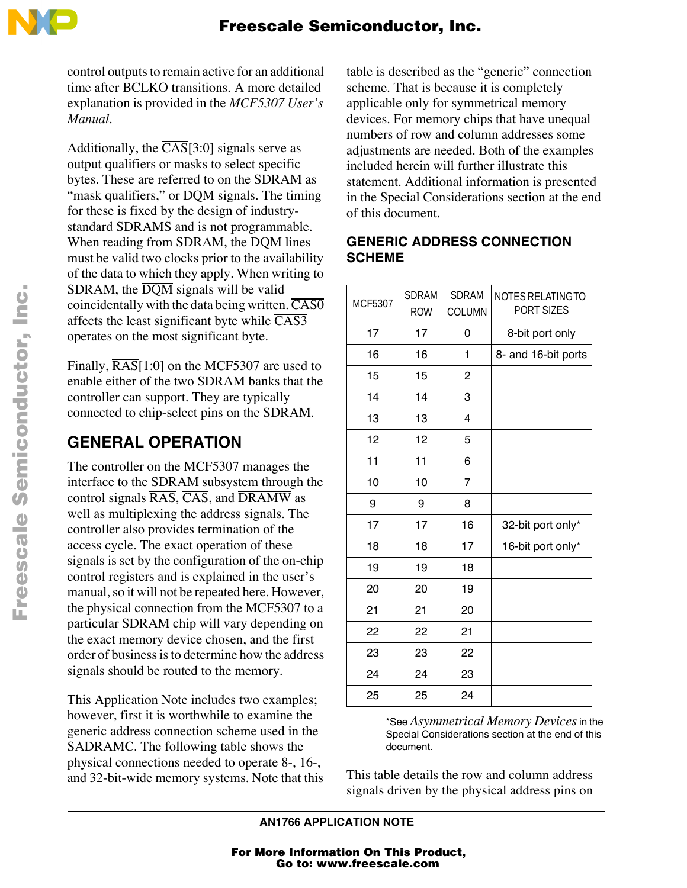

control outputs to remain active for an additional time after BCLKO transitions. A more detailed explanation is provided in the *MCF5307 User's Manual*.

Additionally, the  $\overline{CAS}$ [3:0] signals serve as output qualifiers or masks to select specific bytes. These are referred to on the SDRAM as "mask qualifiers," or  $\overline{DQM}$  signals. The timing for these is fixed by the design of industrystandard SDRAMS and is not programmable. When reading from SDRAM, the  $\overline{DQM}$  lines must be valid two clocks prior to the availability of the data to which they apply. When writing to SDRAM, the  $\overline{DQM}$  signals will be valid coincidentally with the data being written.  $\overline{CAS0}$ affects the least significant byte while  $\overline{CAS3}$ operates on the most significant byte.

Finally,  $\overline{RAS}$ [1:0] on the MCF5307 are used to enable either of the two SDRAM banks that the controller can support. They are typically connected to chip-select pins on the SDRAM.

# **GENERAL OPERATION**

The controller on the MCF5307 manages the interface to the SDRAM subsystem through the control signals  $\overline{RAS}$ ,  $\overline{CAS}$ , and  $\overline{DRAMW}$  as well as multiplexing the address signals. The controller also provides termination of the access cycle. The exact operation of these signals is set by the configuration of the on-chip control registers and is explained in the user's manual, so it will not be repeated here. However, the physical connection from the MCF5307 to a particular SDRAM chip will vary depending on the exact memory device chosen, and the first order of business is to determine how the address signals should be routed to the memory.

This Application Note includes two examples; however, first it is worthwhile to examine the generic address connection scheme used in the SADRAMC. The following table shows the physical connections needed to operate 8-, 16-, and 32-bit-wide memory systems. Note that this table is described as the "generic" connection scheme. That is because it is completely applicable only for symmetrical memory devices. For memory chips that have unequal numbers of row and column addresses some adjustments are needed. Both of the examples included herein will further illustrate this statement. Additional information is presented in the Special Considerations section at the end of this document.

#### **GENERIC ADDRESS CONNECTION SCHEME**

| <b>MCF5307</b> | <b>SDRAM</b><br><b>ROW</b> | <b>SDRAM</b><br><b>COLUMN</b> | NOTES RELATING TO<br>PORT SIZES |
|----------------|----------------------------|-------------------------------|---------------------------------|
| 17             | 17                         | 0                             | 8-bit port only                 |
| 16             | 16                         | 1                             | 8- and 16-bit ports             |
| 15             | 15                         | 2                             |                                 |
| 14             | 14                         | 3                             |                                 |
| 13             | 13                         | 4                             |                                 |
| 12             | 12                         | 5                             |                                 |
| 11             | 11                         | 6                             |                                 |
| 10             | 10                         | $\overline{7}$                |                                 |
| 9              | 9                          | 8                             |                                 |
| 17             | 17                         | 16                            | 32-bit port only*               |
| 18             | 18                         | 17                            | 16-bit port only*               |
| 19             | 19                         | 18                            |                                 |
| 20             | 20                         | 19                            |                                 |
| 21             | 21                         | 20                            |                                 |
| 22             | 22                         | 21                            |                                 |
| 23             | 23                         | 22                            |                                 |
| 24             | 24                         | 23                            |                                 |
| 25             | 25                         | 24                            |                                 |

\*See *Asymmetrical Memory Devices* in the Special Considerations section at the end of this document.

This table details the row and column address signals driven by the physical address pins on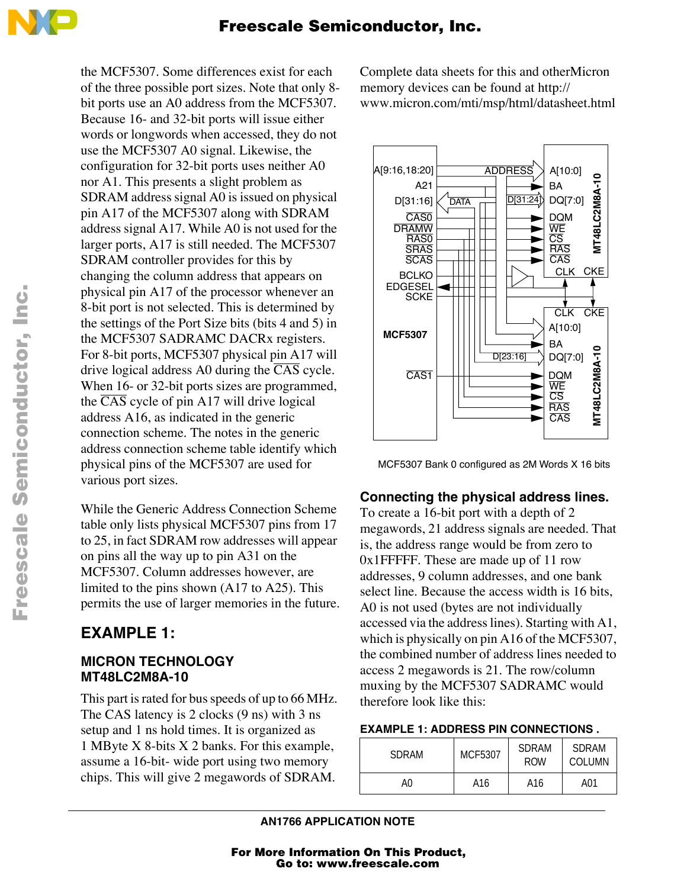

the MCF5307. Some differences exist for each of the three possible port sizes. Note that only 8 bit ports use an A0 address from the MCF5307. Because 16- and 32-bit ports will issue either words or longwords when accessed, they do not use the MCF5307 A0 signal. Likewise, the configuration for 32-bit ports uses neither A0 nor A1. This presents a slight problem as SDRAM address signal A0 is issued on physical pin A17 of the MCF5307 along with SDRAM address signal A17. While A0 is not used for the larger ports, A17 is still needed. The MCF5307 SDRAM controller provides for this by changing the column address that appears on physical pin A17 of the processor whenever an 8-bit port is not selected. This is determined by the settings of the Port Size bits (bits 4 and 5) in the MCF5307 SADRAMC DACRx registers. For 8-bit ports, MCF5307 physical pin A17 will drive logical address A0 during the  $\overline{CAS}$  cycle. When 16- or 32-bit ports sizes are programmed, the  $\overline{CAS}$  cycle of pin A17 will drive logical address A16, as indicated in the generic connection scheme. The notes in the generic address connection scheme table identify which physical pins of the MCF5307 are used for various port sizes.

While the Generic Address Connection Scheme table only lists physical MCF5307 pins from 17 to 25, in fact SDRAM row addresses will appear on pins all the way up to pin A31 on the MCF5307. Column addresses however, are limited to the pins shown (A17 to A25). This permits the use of larger memories in the future.

## **EXAMPLE 1:**

#### **MICRON TECHNOLOGY MT48LC2M8A-10**

This part is rated for bus speeds of up to 66 MHz. The CAS latency is 2 clocks (9 ns) with 3 ns setup and 1 ns hold times. It is organized as 1 MByte X 8-bits X 2 banks. For this example, assume a 16-bit- wide port using two memory chips. This will give 2 megawords of SDRAM.

Complete data sheets for this and otherMicron memory devices can be found at http:// www.micron.com/mti/msp/html/datasheet.html



MCF5307 Bank 0 configured as 2M Words X 16 bits

### **Connecting the physical address lines.**

To create a 16-bit port with a depth of 2 megawords, 21 address signals are needed. That is, the address range would be from zero to 0x1FFFFF. These are made up of 11 row addresses, 9 column addresses, and one bank select line. Because the access width is 16 bits, A0 is not used (bytes are not individually accessed via the address lines). Starting with A1, which is physically on pin A16 of the MCF5307, the combined number of address lines needed to access 2 megawords is 21. The row/column muxing by the MCF5307 SADRAMC would therefore look like this:

#### **EXAMPLE 1: ADDRESS PIN CONNECTIONS .**

| SDRAM | MCF5307 | <b>SDRAM</b><br><b>ROW</b> | SDRAM<br>COLUMN |  |
|-------|---------|----------------------------|-----------------|--|
| A0    | A16     | A16                        | A01             |  |

o

r, I

n

.<br>ق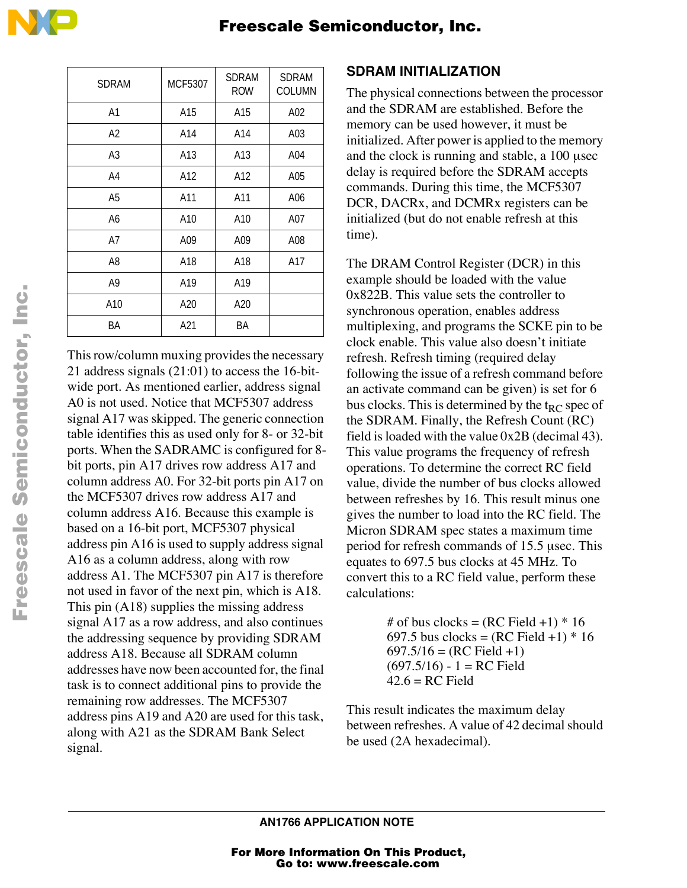Freescale Semiconductor, Inc.

| SDRAM          | MCF5307 | <b>SDRAM</b><br><b>ROW</b> | <b>SDRAM</b><br><b>COLUMN</b> |
|----------------|---------|----------------------------|-------------------------------|
| A <sub>1</sub> | A15     | A15                        | A02                           |
| A <sub>2</sub> | A14     | A14                        | A03                           |
| A3             | A13     | A13                        | A04                           |
| A4             | A12     | A12                        | A05                           |
| A <sub>5</sub> | A11     | A11                        | A06                           |
| A <sub>6</sub> | A10     | A10                        | A07                           |
| A7             | A09     | A09                        | A08                           |
| A8             | A18     | A18                        | A17                           |
| A9             | A19     | A19                        |                               |
| A10            | A20     | A20                        |                               |
| ΒA             | A21     | BA                         |                               |

This row/column muxing provides the necessary 21 address signals (21:01) to access the 16-bitwide port. As mentioned earlier, address signal A0 is not used. Notice that MCF5307 address signal A17 was skipped. The generic connection table identifies this as used only for 8- or 32-bit ports. When the SADRAMC is configured for 8 bit ports, pin A17 drives row address A17 and column address A0. For 32-bit ports pin A17 on the MCF5307 drives row address A17 and column address A16. Because this example is based on a 16-bit port, MCF5307 physical address pin A16 is used to supply address signal A16 as a column address, along with row address A1. The MCF5307 pin A17 is therefore not used in favor of the next pin, which is A18. This pin (A18) supplies the missing address signal A17 as a row address, and also continues the addressing sequence by providing SDRAM address A18. Because all SDRAM column addresses have now been accounted for, the final task is to connect additional pins to provide the remaining row addresses. The MCF5307 address pins A19 and A20 are used for this task, along with A21 as the SDRAM Bank Select signal.

### **SDRAM INITIALIZATION**

The physical connections between the processor and the SDRAM are established. Before the memory can be used however, it must be initialized. After power is applied to the memory and the clock is running and stable, a 100 usec delay is required before the SDRAM accepts commands. During this time, the MCF5307 DCR, DACRx, and DCMRx registers can be initialized (but do not enable refresh at this time).

The DRAM Control Register (DCR) in this example should be loaded with the value 0x822B. This value sets the controller to synchronous operation, enables address multiplexing, and programs the SCKE pin to be clock enable. This value also doesn't initiate refresh. Refresh timing (required delay following the issue of a refresh command before an activate command can be given) is set for 6 bus clocks. This is determined by the  $t_{RC}$  spec of the SDRAM. Finally, the Refresh Count (RC) field is loaded with the value 0x2B (decimal 43). This value programs the frequency of refresh operations. To determine the correct RC field value, divide the number of bus clocks allowed between refreshes by 16. This result minus one gives the number to load into the RC field. The Micron SDRAM spec states a maximum time period for refresh commands of 15.5 usec. This equates to 697.5 bus clocks at 45 MHz. To convert this to a RC field value, perform these calculations:

> # of bus clocks =  $(RC$  Field +1)  $*$  16 697.5 bus clocks =  $(RC$  Field +1)  $*$  16  $697.5/16 = (RC Field +1)$  $(697.5/16) - 1 = RC$  Field  $42.6 = RC$  Field

This result indicates the maximum delay between refreshes. A value of 42 decimal should be used (2A hexadecimal).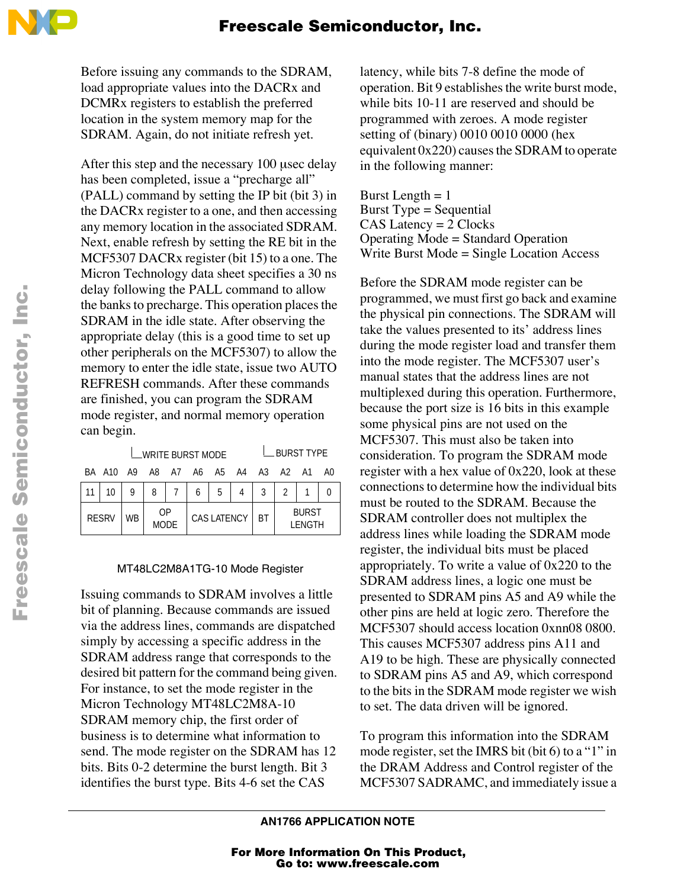

Before issuing any commands to the SDRAM, load appropriate values into the DACRx and DCMRx registers to establish the preferred location in the system memory map for the SDRAM. Again, do not initiate refresh yet.

After this step and the necessary 100 usec delay has been completed, issue a "precharge all" (PALL) command by setting the IP bit (bit 3) in the DACRx register to a one, and then accessing any memory location in the associated SDRAM. Next, enable refresh by setting the RE bit in the MCF5307 DACRx register (bit 15) to a one. The Micron Technology data sheet specifies a 30 ns delay following the PALL command to allow the banks to precharge. This operation places the SDRAM in the idle state. After observing the appropriate delay (this is a good time to set up other peripherals on the MCF5307) to allow the memory to enter the idle state, issue two AUTO REFRESH commands. After these commands are finished, you can program the SDRAM mode register, and normal memory operation can begin.

| __WRITE BURST MODE                   |    |            |  |             |   |           |                        | $\_$ BURST TYPE |  |  |
|--------------------------------------|----|------------|--|-------------|---|-----------|------------------------|-----------------|--|--|
| BA A10 A9 A8 A7 A6 A5 A4 A3 A2 A1 A0 |    |            |  |             |   |           |                        |                 |  |  |
|                                      |    | 8          |  | 6           | 5 |           | 3                      |                 |  |  |
| <b>RESRV</b>                         | WB | OP<br>MODE |  | CAS LATENCY |   | <b>BT</b> | <b>BURST</b><br>LENGTH |                 |  |  |

#### MT48LC2M8A1TG-10 Mode Register

Issuing commands to SDRAM involves a little bit of planning. Because commands are issued via the address lines, commands are dispatched simply by accessing a specific address in the SDRAM address range that corresponds to the desired bit pattern for the command being given. For instance, to set the mode register in the Micron Technology MT48LC2M8A-10 SDRAM memory chip, the first order of business is to determine what information to send. The mode register on the SDRAM has 12 bits. Bits 0-2 determine the burst length. Bit 3 identifies the burst type. Bits 4-6 set the CAS

latency, while bits 7-8 define the mode of operation. Bit 9 establishes the write burst mode, while bits 10-11 are reserved and should be programmed with zeroes. A mode register setting of (binary) 0010 0010 0000 (hex equivalent 0x220) causes the SDRAM to operate in the following manner:

Burst Length  $= 1$ Burst Type = Sequential CAS Latency = 2 Clocks Operating Mode = Standard Operation Write Burst Mode = Single Location Access

Before the SDRAM mode register can be programmed, we must first go back and examine the physical pin connections. The SDRAM will take the values presented to its' address lines during the mode register load and transfer them into the mode register. The MCF5307 user's manual states that the address lines are not multiplexed during this operation. Furthermore, because the port size is 16 bits in this example some physical pins are not used on the MCF5307. This must also be taken into consideration. To program the SDRAM mode register with a hex value of 0x220, look at these connections to determine how the individual bits must be routed to the SDRAM. Because the SDRAM controller does not multiplex the address lines while loading the SDRAM mode register, the individual bits must be placed appropriately. To write a value of 0x220 to the SDRAM address lines, a logic one must be presented to SDRAM pins A5 and A9 while the other pins are held at logic zero. Therefore the MCF5307 should access location 0xnn08 0800. This causes MCF5307 address pins A11 and A19 to be high. These are physically connected to SDRAM pins A5 and A9, which correspond to the bits in the SDRAM mode register we wish to set. The data driven will be ignored.

To program this information into the SDRAM mode register, set the IMRS bit (bit 6) to a "1" in the DRAM Address and Control register of the MCF5307 SADRAMC, and immediately issue a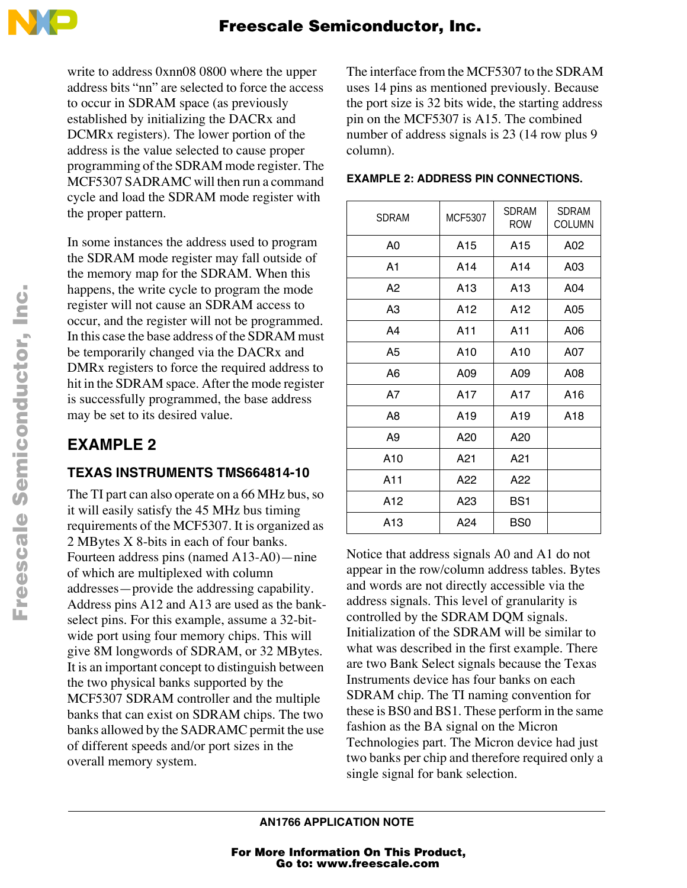

write to address 0xnn08 0800 where the upper address bits "nn" are selected to force the access to occur in SDRAM space (as previously established by initializing the DACRx and DCMRx registers). The lower portion of the address is the value selected to cause proper programming of the SDRAM mode register. The MCF5307 SADRAMC will then run a command cycle and load the SDRAM mode register with the proper pattern.

In some instances the address used to program the SDRAM mode register may fall outside of the memory map for the SDRAM. When this happens, the write cycle to program the mode register will not cause an SDRAM access to occur, and the register will not be programmed. In this case the base address of the SDRAM must be temporarily changed via the DACRx and DMRx registers to force the required address to hit in the SDRAM space. After the mode register is successfully programmed, the base address may be set to its desired value.

# **EXAMPLE 2**

### **TEXAS INSTRUMENTS TMS664814-10**

The TI part can also operate on a 66 MHz bus, so it will easily satisfy the 45 MHz bus timing requirements of the MCF5307. It is organized as 2 MBytes X 8-bits in each of four banks. Fourteen address pins (named A13-A0)—nine of which are multiplexed with column addresses—provide the addressing capability. Address pins A12 and A13 are used as the bankselect pins. For this example, assume a 32-bitwide port using four memory chips. This will give 8M longwords of SDRAM, or 32 MBytes. It is an important concept to distinguish between the two physical banks supported by the MCF5307 SDRAM controller and the multiple banks that can exist on SDRAM chips. The two banks allowed by the SADRAMC permit the use of different speeds and/or port sizes in the overall memory system.

The interface from the MCF5307 to the SDRAM uses 14 pins as mentioned previously. Because the port size is 32 bits wide, the starting address pin on the MCF5307 is A15. The combined number of address signals is 23 (14 row plus 9 column).

| <b>SDRAM</b>   | MCF5307         | <b>SDRAM</b><br><b>ROW</b> | <b>SDRAM</b><br><b>COLUMN</b> |
|----------------|-----------------|----------------------------|-------------------------------|
| A0             | A15             | A <sub>15</sub>            | A02                           |
| A1             | A14             | A14                        | A03                           |
| A2             | A13             | A13                        | A04                           |
| A <sub>3</sub> | A12             | A12                        | A05                           |
| A4             | A11             | A11                        | A06                           |
| A <sub>5</sub> | A <sub>10</sub> | A <sub>10</sub>            | A07                           |
| A6             | A09             | A09                        | A08                           |
| A7             | A17             | A17                        | A16                           |
| A <sub>8</sub> | A19             | A19                        | A18                           |
| A9             | A20             | A20                        |                               |
| A10            | A21             | A21                        |                               |
| A11            | A22             | A22                        |                               |
| A12            | A23             | BS <sub>1</sub>            |                               |
| A13            | A24             | BS <sub>0</sub>            |                               |

#### **EXAMPLE 2: ADDRESS PIN CONNECTIONS.**

Notice that address signals A0 and A1 do not appear in the row/column address tables. Bytes and words are not directly accessible via the address signals. This level of granularity is controlled by the SDRAM DQM signals. Initialization of the SDRAM will be similar to what was described in the first example. There are two Bank Select signals because the Texas Instruments device has four banks on each SDRAM chip. The TI naming convention for these is BS0 and BS1. These perform in the same fashion as the BA signal on the Micron Technologies part. The Micron device had just two banks per chip and therefore required only a single signal for bank selection.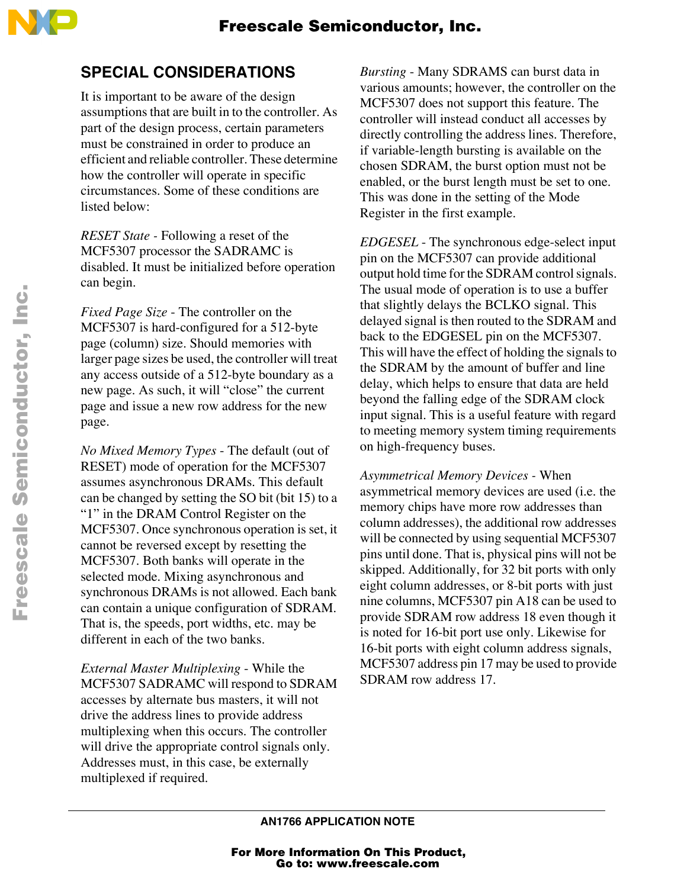

### **SPECIAL CONSIDERATIONS**

It is important to be aware of the design assumptions that are built in to the controller. As part of the design process, certain parameters must be constrained in order to produce an efficient and reliable controller. These determine how the controller will operate in specific circumstances. Some of these conditions are listed below:

*RESET State -* Following a reset of the MCF5307 processor the SADRAMC is disabled. It must be initialized before operation can begin.

*Fixed Page Size* - The controller on the MCF5307 is hard-configured for a 512-byte page (column) size. Should memories with larger page sizes be used, the controller will treat any access outside of a 512-byte boundary as a new page. As such, it will "close" the current page and issue a new row address for the new page.

*No Mixed Memory Types* - The default (out of RESET) mode of operation for the MCF5307 assumes asynchronous DRAMs. This default can be changed by setting the SO bit (bit 15) to a "1" in the DRAM Control Register on the MCF5307. Once synchronous operation is set, it cannot be reversed except by resetting the MCF5307. Both banks will operate in the selected mode. Mixing asynchronous and synchronous DRAMs is not allowed. Each bank can contain a unique configuration of SDRAM. That is, the speeds, port widths, etc. may be different in each of the two banks.

*External Master Multiplexing* - While the MCF5307 SADRAMC will respond to SDRAM accesses by alternate bus masters, it will not drive the address lines to provide address multiplexing when this occurs. The controller will drive the appropriate control signals only. Addresses must, in this case, be externally multiplexed if required.

*Bursting* - Many SDRAMS can burst data in various amounts; however, the controller on the MCF5307 does not support this feature. The controller will instead conduct all accesses by directly controlling the address lines. Therefore, if variable-length bursting is available on the chosen SDRAM, the burst option must not be enabled, or the burst length must be set to one. This was done in the setting of the Mode Register in the first example.

*EDGESEL* - The synchronous edge-select input pin on the MCF5307 can provide additional output hold time for the SDRAM control signals. The usual mode of operation is to use a buffer that slightly delays the BCLKO signal. This delayed signal is then routed to the SDRAM and back to the EDGESEL pin on the MCF5307. This will have the effect of holding the signals to the SDRAM by the amount of buffer and line delay, which helps to ensure that data are held beyond the falling edge of the SDRAM clock input signal. This is a useful feature with regard to meeting memory system timing requirements on high-frequency buses.

*Asymmetrical Memory Devices -* When asymmetrical memory devices are used (i.e. the memory chips have more row addresses than column addresses), the additional row addresses will be connected by using sequential MCF5307 pins until done. That is, physical pins will not be skipped. Additionally, for 32 bit ports with only eight column addresses, or 8-bit ports with just nine columns, MCF5307 pin A18 can be used to provide SDRAM row address 18 even though it is noted for 16-bit port use only. Likewise for 16-bit ports with eight column address signals, MCF5307 address pin 17 may be used to provide SDRAM row address 17.